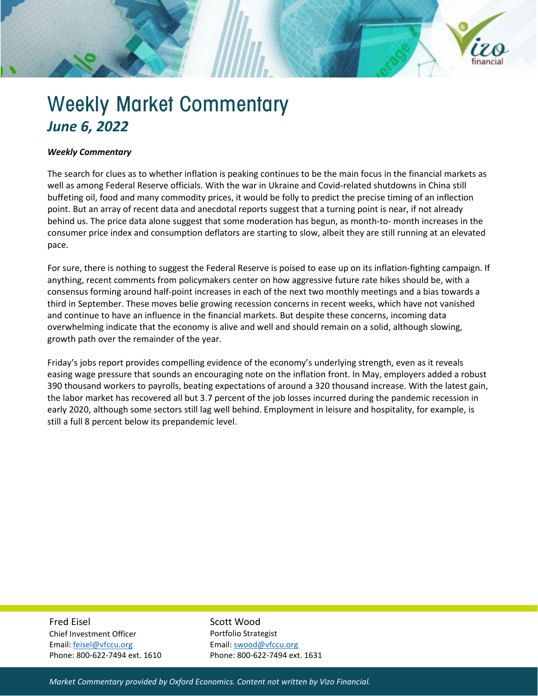

## Weekly Market Commentary *June 6, 2022*

## *Weekly Commentary*

The search for clues as to whether inflation is peaking continues to be the main focus in the financial markets as well as among Federal Reserve officials. With the war in Ukraine and Covid-related shutdowns in China still buffeting oil, food and many commodity prices, it would be folly to predict the precise timing of an inflection point. But an array of recent data and anecdotal reports suggest that a turning point is near, if not already behind us. The price data alone suggest that some moderation has begun, as month-to- month increases in the consumer price index and consumption deflators are starting to slow, albeit they are still running at an elevated pace.

For sure, there is nothing to suggest the Federal Reserve is poised to ease up on its inflation-fighting campaign. If anything, recent comments from policymakers center on how aggressive future rate hikes should be, with a consensus forming around half-point increases in each of the next two monthly meetings and a bias towards a third in September. These moves belie growing recession concerns in recent weeks, which have not vanished and continue to have an influence in the financial markets. But despite these concerns, incoming data overwhelming indicate that the economy is alive and well and should remain on a solid, although slowing, growth path over the remainder of the year.

Friday's jobs report provides compelling evidence of the economy's underlying strength, even as it reveals easing wage pressure that sounds an encouraging note on the inflation front. In May, employers added a robust 390 thousand workers to payrolls, beating expectations of around a 320 thousand increase. With the latest gain, the labor market has recovered all but 3.7 percent of the job losses incurred during the pandemic recession in early 2020, although some sectors still lag well behind. Employment in leisure and hospitality, for example, is still a full 8 percent below its prepandemic level.

Fred Eisel Chief Investment Officer

Email[: feisel@vfccu.org](mailto:feisel@vfccu.org) Phone: 800-622-7494 ext. 1610 Scott Wood Portfolio Strategist Email[: swood@vfccu.org](mailto:swood@vfccu.org) Phone: 800-622-7494 ext. 1631

*Market Commentary provided by Oxford Economics. Content not written by Vizo Financial.*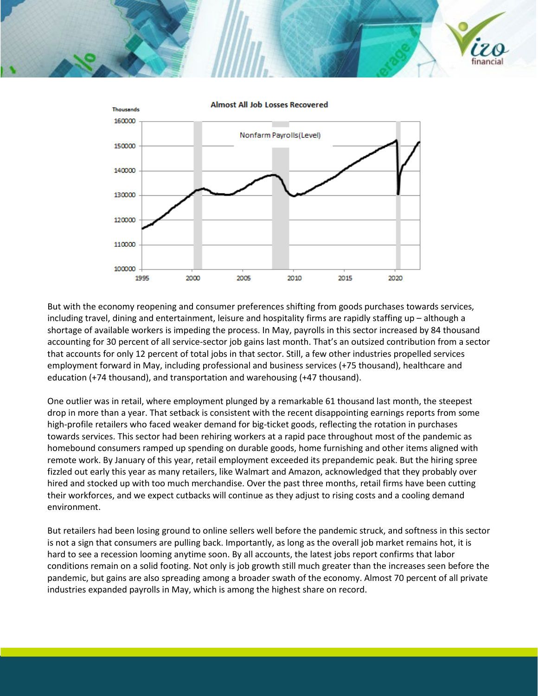



But with the economy reopening and consumer preferences shifting from goods purchases towards services, including travel, dining and entertainment, leisure and hospitality firms are rapidly staffing up – although a shortage of available workers is impeding the process. In May, payrolls in this sector increased by 84 thousand accounting for 30 percent of all service-sector job gains last month. That's an outsized contribution from a sector that accounts for only 12 percent of total jobs in that sector. Still, a few other industries propelled services employment forward in May, including professional and business services (+75 thousand), healthcare and education (+74 thousand), and transportation and warehousing (+47 thousand).

One outlier was in retail, where employment plunged by a remarkable 61 thousand last month, the steepest drop in more than a year. That setback is consistent with the recent disappointing earnings reports from some high-profile retailers who faced weaker demand for big-ticket goods, reflecting the rotation in purchases towards services. This sector had been rehiring workers at a rapid pace throughout most of the pandemic as homebound consumers ramped up spending on durable goods, home furnishing and other items aligned with remote work. By January of this year, retail employment exceeded its prepandemic peak. But the hiring spree fizzled out early this year as many retailers, like Walmart and Amazon, acknowledged that they probably over hired and stocked up with too much merchandise. Over the past three months, retail firms have been cutting their workforces, and we expect cutbacks will continue as they adjust to rising costs and a cooling demand environment.

But retailers had been losing ground to online sellers well before the pandemic struck, and softness in this sector is not a sign that consumers are pulling back. Importantly, as long as the overall job market remains hot, it is hard to see a recession looming anytime soon. By all accounts, the latest jobs report confirms that labor conditions remain on a solid footing. Not only is job growth still much greater than the increases seen before the pandemic, but gains are also spreading among a broader swath of the economy. Almost 70 percent of all private industries expanded payrolls in May, which is among the highest share on record.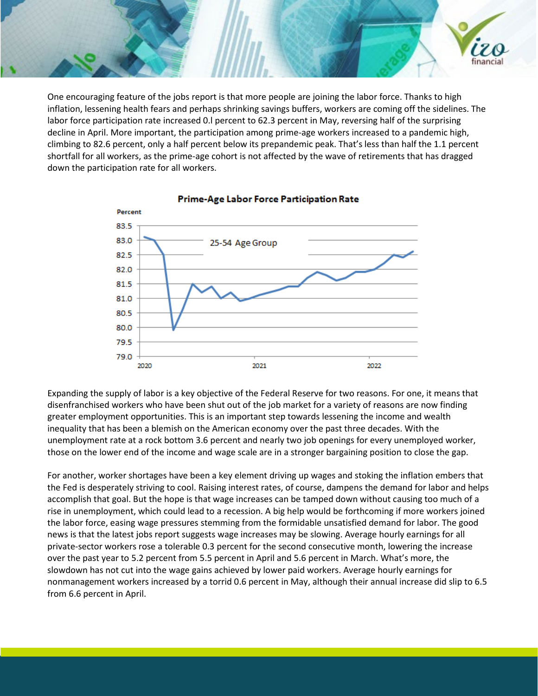One encouraging feature of the jobs report is that more people are joining the labor force. Thanks to high inflation, lessening health fears and perhaps shrinking savings buffers, workers are coming off the sidelines. The labor force participation rate increased 0.l percent to 62.3 percent in May, reversing half of the surprising decline in April. More important, the participation among prime-age workers increased to a pandemic high, climbing to 82.6 percent, only a half percent below its prepandemic peak. That's less than half the 1.1 percent shortfall for all workers, as the prime-age cohort is not affected by the wave of retirements that has dragged down the participation rate for all workers.

inancia



## Prime-Age Labor Force Participation Rate

Expanding the supply of labor is a key objective of the Federal Reserve for two reasons. For one, it means that disenfranchised workers who have been shut out of the job market for a variety of reasons are now finding greater employment opportunities. This is an important step towards lessening the income and wealth inequality that has been a blemish on the American economy over the past three decades. With the unemployment rate at a rock bottom 3.6 percent and nearly two job openings for every unemployed worker, those on the lower end of the income and wage scale are in a stronger bargaining position to close the gap.

For another, worker shortages have been a key element driving up wages and stoking the inflation embers that the Fed is desperately striving to cool. Raising interest rates, of course, dampens the demand for labor and helps accomplish that goal. But the hope is that wage increases can be tamped down without causing too much of a rise in unemployment, which could lead to a recession. A big help would be forthcoming if more workers joined the labor force, easing wage pressures stemming from the formidable unsatisfied demand for labor. The good news is that the latest jobs report suggests wage increases may be slowing. Average hourly earnings for all private-sector workers rose a tolerable 0.3 percent for the second consecutive month, lowering the increase over the past year to 5.2 percent from 5.5 percent in April and 5.6 percent in March. What's more, the slowdown has not cut into the wage gains achieved by lower paid workers. Average hourly earnings for nonmanagement workers increased by a torrid 0.6 percent in May, although their annual increase did slip to 6.5 from 6.6 percent in April.